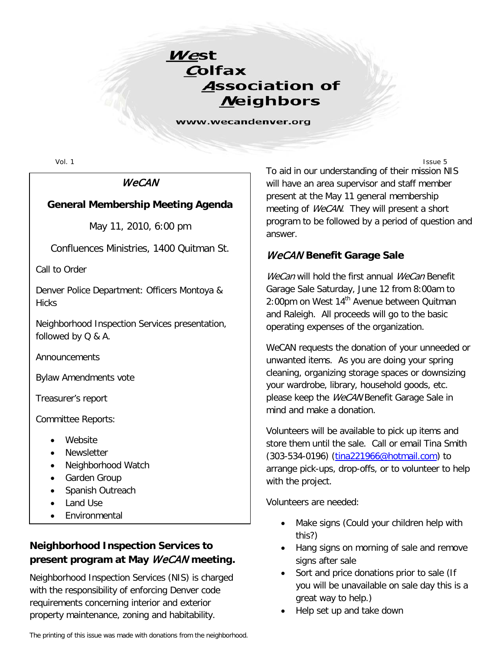

www.wecandenver.org

### **WeCAN**

#### **General Membership Meeting Agenda**

May 11, 2010, 6:00 pm

Confluences Ministries, 1400 Quitman St.

Call to Order

Denver Police Department: Officers Montoya & **Hicks** 

Neighborhood Inspection Services presentation, followed by Q & A.

Announcements

Bylaw Amendments vote

Treasurer's report

Committee Reports:

- Website
- **Newsletter**
- Neighborhood Watch
- Garden Group
- Spanish Outreach
- Land Use
- Environmental

# **Neighborhood Inspection Services to present program at May** WeCAN **meeting.**

Neighborhood Inspection Services (NIS) is charged with the responsibility of enforcing Denver code requirements concerning interior and exterior property maintenance, zoning and habitability.

Vol. 1 Issue 5 To aid in our understanding of their mission NIS will have an area supervisor and staff member present at the May 11 general membership meeting of *WeCAN*. They will present a short program to be followed by a period of question and answer.

### WeCAN **Benefit Garage Sale**

WeCan will hold the first annual WeCan Benefit Garage Sale Saturday, June 12 from 8:00am to 2:00pm on West 14<sup>th</sup> Avenue between Quitman and Raleigh. All proceeds will go to the basic operating expenses of the organization.

WeCAN requests the donation of your unneeded or unwanted items. As you are doing your spring cleaning, organizing storage spaces or downsizing your wardrobe, library, household goods, etc. please keep the WeCAN Benefit Garage Sale in mind and make a donation.

Volunteers will be available to pick up items and store them until the sale. Call or email Tina Smith (303-534-0196) [\(tina221966@hotmail.com\)](mailto:tina221966@hotmail.com) to arrange pick-ups, drop-offs, or to volunteer to help with the project.

Volunteers are needed:

- Make signs (Could your children help with this?)
- Hang signs on morning of sale and remove signs after sale
- Sort and price donations prior to sale (If you will be unavailable on sale day this is a great way to help.)
- Help set up and take down